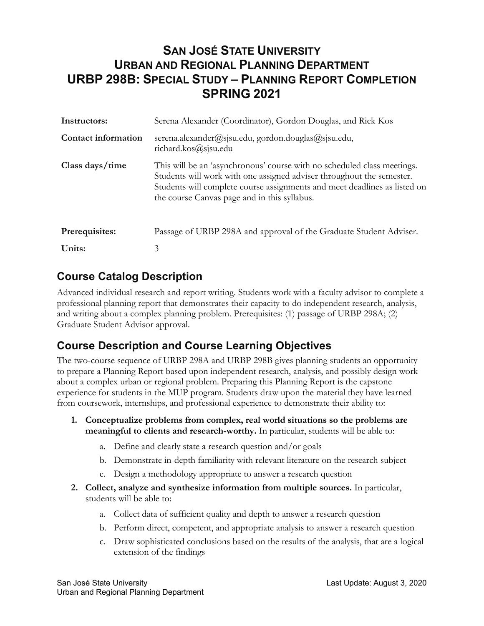# **SAN JOSÉ STATE UNIVERSITY URBAN AND REGIONAL PLANNING DEPARTMENT URBP 298B: SPECIAL STUDY – PLANNING REPORT COMPLETION SPRING 2021**

| Instructors:               | Serena Alexander (Coordinator), Gordon Douglas, and Rick Kos                                                                                                                                                                                                                  |  |
|----------------------------|-------------------------------------------------------------------------------------------------------------------------------------------------------------------------------------------------------------------------------------------------------------------------------|--|
| <b>Contact information</b> | serena.alexander@sjsu.edu, gordon.douglas@sjsu.edu,<br>richard.kos@sjsu.edu                                                                                                                                                                                                   |  |
| Class days/time            | This will be an 'asynchronous' course with no scheduled class meetings.<br>Students will work with one assigned adviser throughout the semester.<br>Students will complete course assignments and meet deadlines as listed on<br>the course Canvas page and in this syllabus. |  |
| Prerequisites:             | Passage of URBP 298A and approval of the Graduate Student Adviser.                                                                                                                                                                                                            |  |
| Units:                     | 3                                                                                                                                                                                                                                                                             |  |

#### **Course Catalog Description**

Advanced individual research and report writing. Students work with a faculty advisor to complete a professional planning report that demonstrates their capacity to do independent research, analysis, and writing about a complex planning problem. Prerequisites: (1) passage of URBP 298A; (2) Graduate Student Advisor approval.

### **Course Description and Course Learning Objectives**

The two-course sequence of URBP 298A and URBP 298B gives planning students an opportunity to prepare a Planning Report based upon independent research, analysis, and possibly design work about a complex urban or regional problem. Preparing this Planning Report is the capstone experience for students in the MUP program. Students draw upon the material they have learned from coursework, internships, and professional experience to demonstrate their ability to:

- **1. Conceptualize problems from complex, real world situations so the problems are meaningful to clients and research-worthy.** In particular, students will be able to:
	- a. Define and clearly state a research question and/or goals
	- b. Demonstrate in-depth familiarity with relevant literature on the research subject
	- c. Design a methodology appropriate to answer a research question
- **2. Collect, analyze and synthesize information from multiple sources.** In particular, students will be able to:
	- a. Collect data of sufficient quality and depth to answer a research question
	- b. Perform direct, competent, and appropriate analysis to answer a research question
	- c. Draw sophisticated conclusions based on the results of the analysis, that are a logical extension of the findings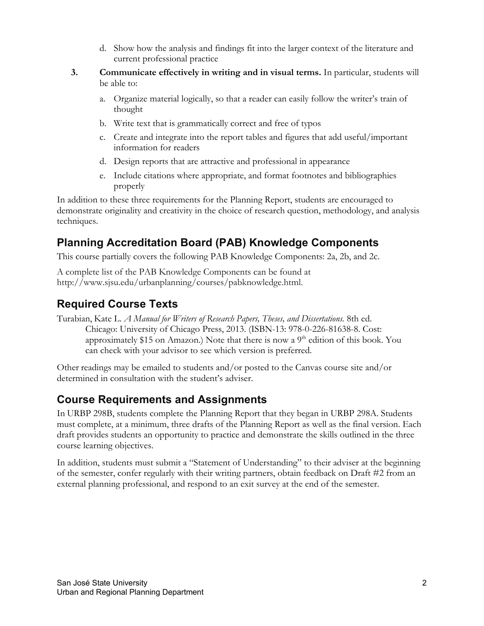- d. Show how the analysis and findings fit into the larger context of the literature and current professional practice
- **3. Communicate effectively in writing and in visual terms.** In particular, students will be able to:
	- a. Organize material logically, so that a reader can easily follow the writer's train of thought
	- b. Write text that is grammatically correct and free of typos
	- c. Create and integrate into the report tables and figures that add useful/important information for readers
	- d. Design reports that are attractive and professional in appearance
	- e. Include citations where appropriate, and format footnotes and bibliographies properly

In addition to these three requirements for the Planning Report, students are encouraged to demonstrate originality and creativity in the choice of research question, methodology, and analysis techniques.

## **Planning Accreditation Board (PAB) Knowledge Components**

This course partially covers the following PAB Knowledge Components: 2a, 2b, and 2c.

A complete list of the PAB Knowledge Components can be found at [http://www.sjsu.edu/urbanplanning/courses/pabknowledge.html.](http://www.sjsu.edu/urbanplanning/courses/pabknowledge.html)

## **Required Course Texts**

Turabian, Kate L. *A Manual for Writers of Research Papers, Theses, and Dissertations.* 8th ed. Chicago: University of Chicago Press, 2013. (ISBN-13: 978-0-226-81638-8. Cost: approximately \$15 on Amazon.) Note that there is now a  $9<sup>th</sup>$  edition of this book. You can check with your advisor to see which version is preferred.

Other readings may be emailed to students and/or posted to the Canvas course site and/or determined in consultation with the student's adviser.

### **Course Requirements and Assignments**

In URBP 298B, students complete the Planning Report that they began in URBP 298A. Students must complete, at a minimum, three drafts of the Planning Report as well as the final version. Each draft provides students an opportunity to practice and demonstrate the skills outlined in the three course learning objectives.

In addition, students must submit a "Statement of Understanding" to their adviser at the beginning of the semester, confer regularly with their writing partners, obtain feedback on Draft #2 from an external planning professional, and respond to an exit survey at the end of the semester.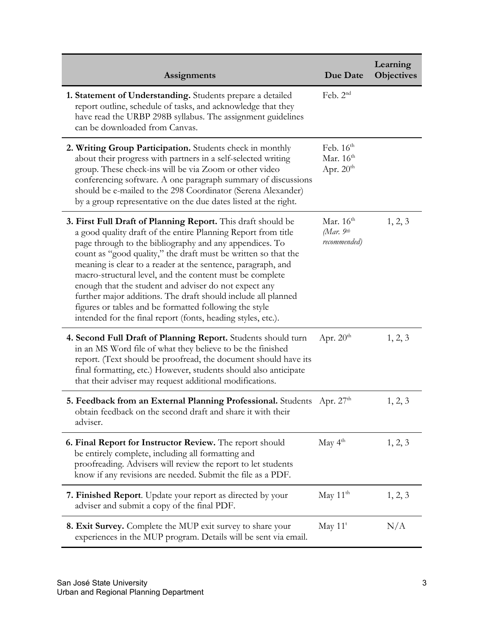| <b>Assignments</b>                                                                                                                                                                                                                                                                                                                                                                                                                                                                                                                                                                                                                         | Due Date                                               | Learning<br><b>Objectives</b> |
|--------------------------------------------------------------------------------------------------------------------------------------------------------------------------------------------------------------------------------------------------------------------------------------------------------------------------------------------------------------------------------------------------------------------------------------------------------------------------------------------------------------------------------------------------------------------------------------------------------------------------------------------|--------------------------------------------------------|-------------------------------|
| 1. Statement of Understanding. Students prepare a detailed<br>report outline, schedule of tasks, and acknowledge that they<br>have read the URBP 298B syllabus. The assignment guidelines<br>can be downloaded from Canvas.                                                                                                                                                                                                                                                                                                                                                                                                                | Feb. $2nd$                                             |                               |
| 2. Writing Group Participation. Students check in monthly<br>about their progress with partners in a self-selected writing<br>group. These check-ins will be via Zoom or other video<br>conferencing software. A one paragraph summary of discussions<br>should be e-mailed to the 298 Coordinator (Serena Alexander)<br>by a group representative on the due dates listed at the right.                                                                                                                                                                                                                                                   | Feb. $16th$<br>Mar. $16th$<br>Apr. $20th$              |                               |
| 3. First Full Draft of Planning Report. This draft should be<br>a good quality draft of the entire Planning Report from title<br>page through to the bibliography and any appendices. To<br>count as "good quality," the draft must be written so that the<br>meaning is clear to a reader at the sentence, paragraph, and<br>macro-structural level, and the content must be complete<br>enough that the student and adviser do not expect any<br>further major additions. The draft should include all planned<br>figures or tables and be formatted following the style<br>intended for the final report (fonts, heading styles, etc.). | Mar. $16th$<br>(Mar. $9$ <sup>th</sup><br>recommended) | 1, 2, 3                       |
| 4. Second Full Draft of Planning Report. Students should turn<br>in an MS Word file of what they believe to be the finished<br>report. (Text should be proofread, the document should have its<br>final formatting, etc.) However, students should also anticipate<br>that their adviser may request additional modifications.                                                                                                                                                                                                                                                                                                             | Apr. $20th$                                            | 1, 2, 3                       |
| 5. Feedback from an External Planning Professional. Students Apr. 27th<br>obtain feedback on the second draft and share it with their<br>adviser.                                                                                                                                                                                                                                                                                                                                                                                                                                                                                          |                                                        | 1, 2, 3                       |
| 6. Final Report for Instructor Review. The report should<br>be entirely complete, including all formatting and<br>proofreading. Advisers will review the report to let students<br>know if any revisions are needed. Submit the file as a PDF.                                                                                                                                                                                                                                                                                                                                                                                             | May $4th$                                              | 1, 2, 3                       |
| <b>7. Finished Report.</b> Update your report as directed by your<br>adviser and submit a copy of the final PDF.                                                                                                                                                                                                                                                                                                                                                                                                                                                                                                                           | May $11th$                                             | 1, 2, 3                       |
| <b>8. Exit Survey.</b> Complete the MUP exit survey to share your<br>experiences in the MUP program. Details will be sent via email.                                                                                                                                                                                                                                                                                                                                                                                                                                                                                                       | May $11^t$                                             | N/A                           |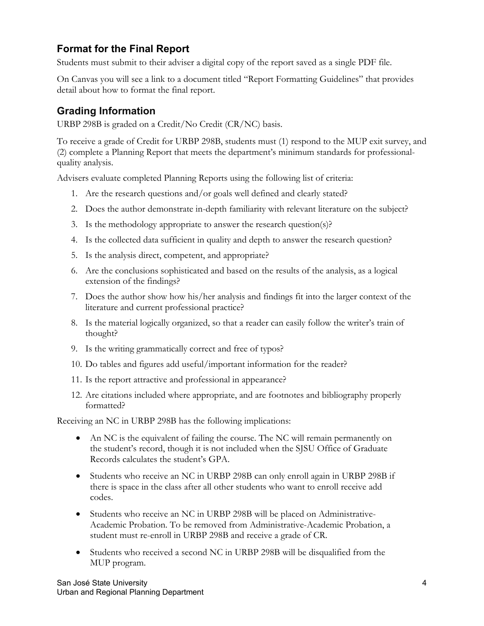#### **Format for the Final Report**

Students must submit to their adviser a digital copy of the report saved as a single PDF file.

On Canvas you will see a link to a document titled "Report Formatting Guidelines" that provides detail about how to format the final report.

#### **Grading Information**

URBP 298B is graded on a Credit/No Credit (CR/NC) basis.

To receive a grade of Credit for URBP 298B, students must (1) respond to the MUP exit survey, and (2) complete a Planning Report that meets the department's minimum standards for professionalquality analysis.

Advisers evaluate completed Planning Reports using the following list of criteria:

- 1. Are the research questions and/or goals well defined and clearly stated?
- 2. Does the author demonstrate in-depth familiarity with relevant literature on the subject?
- 3. Is the methodology appropriate to answer the research question(s)?
- 4. Is the collected data sufficient in quality and depth to answer the research question?
- 5. Is the analysis direct, competent, and appropriate?
- 6. Are the conclusions sophisticated and based on the results of the analysis, as a logical extension of the findings?
- 7. Does the author show how his/her analysis and findings fit into the larger context of the literature and current professional practice?
- 8. Is the material logically organized, so that a reader can easily follow the writer's train of thought?
- 9. Is the writing grammatically correct and free of typos?
- 10. Do tables and figures add useful/important information for the reader?
- 11. Is the report attractive and professional in appearance?
- 12. Are citations included where appropriate, and are footnotes and bibliography properly formatted?

Receiving an NC in URBP 298B has the following implications:

- An NC is the equivalent of failing the course. The NC will remain permanently on the student's record, though it is not included when the SJSU Office of Graduate Records calculates the student's GPA.
- Students who receive an NC in URBP 298B can only enroll again in URBP 298B if there is space in the class after all other students who want to enroll receive add codes.
- Students who receive an NC in URBP 298B will be placed on Administrative-Academic Probation. To be removed from Administrative-Academic Probation, a student must re-enroll in URBP 298B and receive a grade of CR.
- Students who received a second NC in URBP 298B will be disqualified from the MUP program.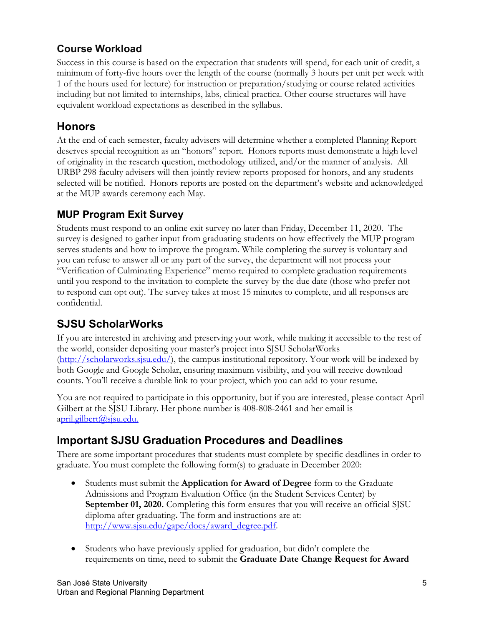### **Course Workload**

Success in this course is based on the expectation that students will spend, for each unit of credit, a minimum of forty-five hours over the length of the course (normally 3 hours per unit per week with 1 of the hours used for lecture) for instruction or preparation/studying or course related activities including but not limited to internships, labs, clinical practica. Other course structures will have equivalent workload expectations as described in the syllabus.

## **Honors**

At the end of each semester, faculty advisers will determine whether a completed Planning Report deserves special recognition as an "honors" report. Honors reports must demonstrate a high level of originality in the research question, methodology utilized, and/or the manner of analysis. All URBP 298 faculty advisers will then jointly review reports proposed for honors, and any students selected will be notified. Honors reports are posted on the department's website and acknowledged at the MUP awards ceremony each May.

#### **MUP Program Exit Survey**

Students must respond to an online exit survey no later than Friday, December 11, 2020. The survey is designed to gather input from graduating students on how effectively the MUP program serves students and how to improve the program. While completing the survey is voluntary and you can refuse to answer all or any part of the survey, the department will not process your "Verification of Culminating Experience" memo required to complete graduation requirements until you respond to the invitation to complete the survey by the due date (those who prefer not to respond can opt out). The survey takes at most 15 minutes to complete, and all responses are confidential.

## **SJSU ScholarWorks**

If you are interested in archiving and preserving your work, while making it accessible to the rest of the world, consider depositing your master's project into SJSU ScholarWorks [\(http://scholarworks.sjsu.edu/\)](http://scholarworks.sjsu.edu/), the campus institutional repository. Your work will be indexed by both Google and Google Scholar, ensuring maximum visibility, and you will receive download counts. You'll receive a durable link to your project, which you can add to your resume.

You are not required to participate in this opportunity, but if you are interested, please contact April Gilbert at the SJSU Library. Her phone number is 408-808-2461 and her email is april.gilbert@sjsu.edu.

## **Important SJSU Graduation Procedures and Deadlines**

There are some important procedures that students must complete by specific deadlines in order to graduate. You must complete the following form(s) to graduate in December 2020:

- Students must submit the **Application for Award of Degree** form to the Graduate Admissions and Program Evaluation Office (in the Student Services Center) by **September 01, 2020.** Completing this form ensures that you will receive an official SJSU diploma after graduating**.** The form and instructions are at: [http://www.sjsu.edu/gape/docs/award\\_degree.pdf.](http://www.sjsu.edu/gape/docs/award_degree.pdf)
- Students who have previously applied for graduation, but didn't complete the requirements on time, need to submit the **Graduate Date Change Request for Award**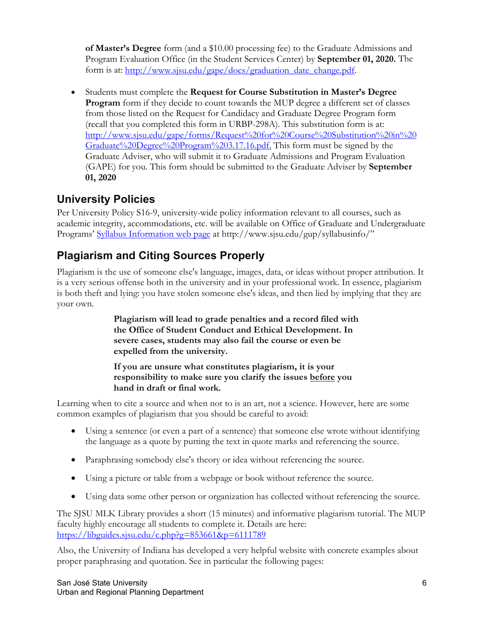**of Master's Degree** form (and a \$10.00 processing fee) to the Graduate Admissions and Program Evaluation Office (in the Student Services Center) by **September 01, 2020.** The form is at: [http://www.sjsu.edu/gape/docs/graduation\\_date\\_change.pdf.](http://www.sjsu.edu/gape/docs/graduation_date_change.pdf)

• Students must complete the **Request for Course Substitution in Master's Degree Program** form if they decide to count towards the MUP degree a different set of classes from those listed on the Request for Candidacy and Graduate Degree Program form (recall that you completed this form in URBP-298A). This substitution form is at: [http://www.sjsu.edu/gape/forms/Request%20for%20Course%20Substitution%20in%20](http://www.sjsu.edu/gape/forms/Request%20for%20Course%20Substitution%20in%20Graduate%20Degree%20Program%203.17.16.pdf) [Graduate%20Degree%20Program%203.17.16.pdf.](http://www.sjsu.edu/gape/forms/Request%20for%20Course%20Substitution%20in%20Graduate%20Degree%20Program%203.17.16.pdf) This form must be signed by the Graduate Adviser, who will submit it to Graduate Admissions and Program Evaluation (GAPE) for you. This form should be submitted to the Graduate Adviser by **September 01, 2020**

# **University Policies**

Per University Policy S16-9, university-wide policy information relevant to all courses, such as academic integrity, accommodations, etc. will be available on Office of Graduate and Undergraduate Programs' [Syllabus Information web page](http://www.sjsu.edu/gup/syllabusinfo/) at http://www.sjsu.edu/gup/syllabusinfo/"

# **Plagiarism and Citing Sources Properly**

Plagiarism is the use of someone else's language, images, data, or ideas without proper attribution. It is a very serious offense both in the university and in your professional work. In essence, plagiarism is both theft and lying: you have stolen someone else's ideas, and then lied by implying that they are your own.

> **Plagiarism will lead to grade penalties and a record filed with the Office of Student Conduct and Ethical Development. In severe cases, students may also fail the course or even be expelled from the university.**

**If you are unsure what constitutes plagiarism, it is your responsibility to make sure you clarify the issues before you hand in draft or final work.**

Learning when to cite a source and when not to is an art, not a science. However, here are some common examples of plagiarism that you should be careful to avoid:

- Using a sentence (or even a part of a sentence) that someone else wrote without identifying the language as a quote by putting the text in quote marks and referencing the source.
- Paraphrasing somebody else's theory or idea without referencing the source.
- Using a picture or table from a webpage or book without reference the source.
- Using data some other person or organization has collected without referencing the source.

The SJSU MLK Library provides a short (15 minutes) and informative plagiarism tutorial. The MUP faculty highly encourage all students to complete it. Details are here: <https://libguides.sjsu.edu/c.php?g=853661&p=6111789>

Also, the University of Indiana has developed a very helpful website with concrete examples about proper paraphrasing and quotation. See in particular the following pages: